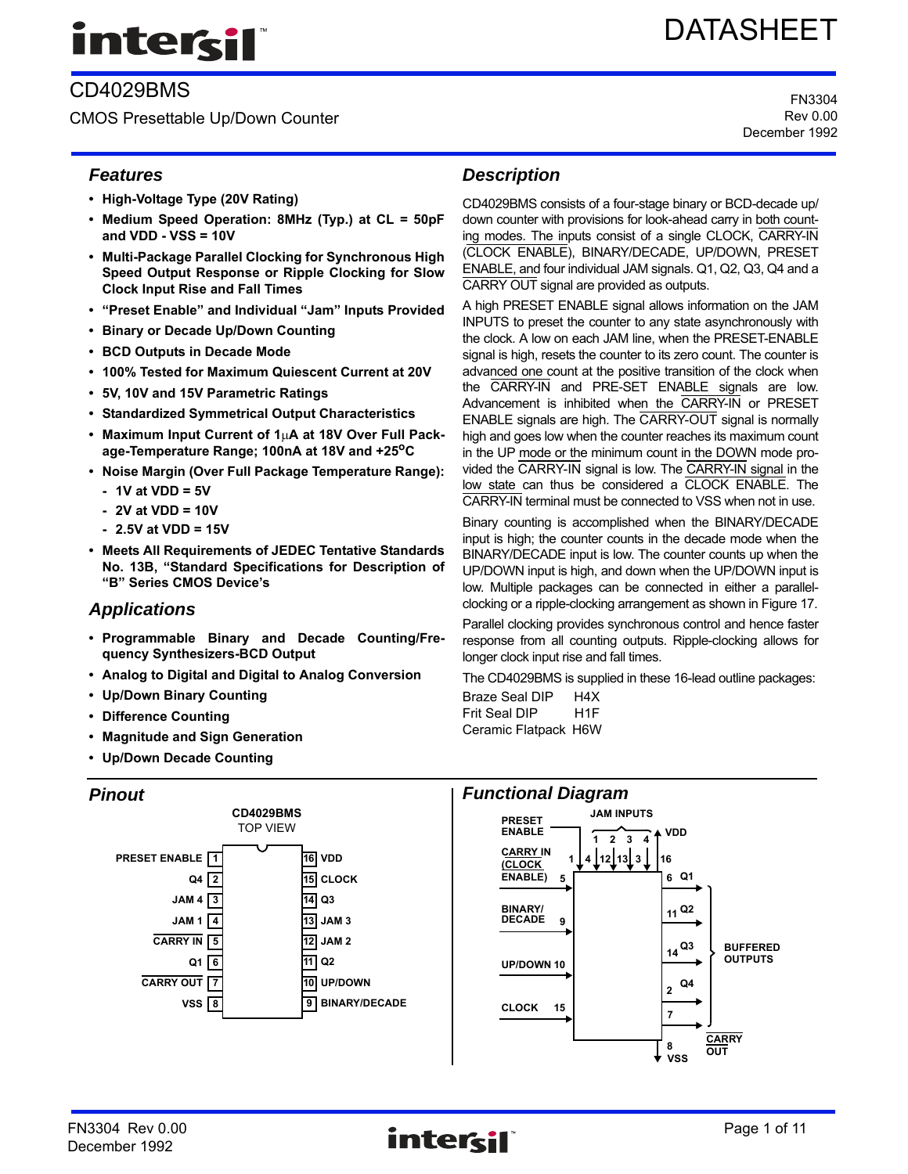# intersil

# CD4029BMS

CMOS Presettable Up/Down Counter

# *Features*

- **High-Voltage Type (20V Rating)**
- **Medium Speed Operation: 8MHz (Typ.) at CL = 50pF and VDD - VSS = 10V**
- **Multi-Package Parallel Clocking for Synchronous High Speed Output Response or Ripple Clocking for Slow Clock Input Rise and Fall Times**
- **"Preset Enable" and Individual "Jam" Inputs Provided**
- **Binary or Decade Up/Down Counting**
- **BCD Outputs in Decade Mode**
- **100% Tested for Maximum Quiescent Current at 20V**
- **5V, 10V and 15V Parametric Ratings**
- **Standardized Symmetrical Output Characteristics**
- Maximum Input Current of 1<sub>u</sub>A at 18V Over Full Pack**age-Temperature Range; 100nA at 18V and +25oC**
- **Noise Margin (Over Full Package Temperature Range):**
	- **1V at VDD = 5V**
	- **2V at VDD = 10V**
	- **2.5V at VDD = 15V**
- **Meets All Requirements of JEDEC Tentative Standards No. 13B, "Standard Specifications for Description of "B" Series CMOS Device's**

# *Applications*

- **Programmable Binary and Decade Counting/Frequency Synthesizers-BCD Output**
- **Analog to Digital and Digital to Analog Conversion**
- **Up/Down Binary Counting**
- **Difference Counting**
- **Magnitude and Sign Generation**
- **Up/Down Decade Counting**

# *Pinout*



# *Description*

CD4029BMS consists of a four-stage binary or BCD-decade up/ down counter with provisions for look-ahead carry in both counting modes. The inputs consist of a single CLOCK, CARRY-IN (CLOCK ENABLE), BINARY/DECADE, UP/DOWN, PRESET ENABLE, and four individual JAM signals. Q1, Q2, Q3, Q4 and a CARRY OUT signal are provided as outputs.

A high PRESET ENABLE signal allows information on the JAM INPUTS to preset the counter to any state asynchronously with the clock. A low on each JAM line, when the PRESET-ENABLE signal is high, resets the counter to its zero count. The counter is advanced one count at the positive transition of the clock when the CARRY-IN and PRE-SET ENABLE signals are low. Advancement is inhibited when the CARRY-IN or PRESET ENABLE signals are high. The CARRY-OUT signal is normally high and goes low when the counter reaches its maximum count in the UP mode or the minimum count in the DOWN mode provided the CARRY-IN signal is low. The CARRY-IN signal in the low state can thus be considered a CLOCK ENABLE. The CARRY-IN terminal must be connected to VSS when not in use.

Binary counting is accomplished when the BINARY/DECADE input is high; the counter counts in the decade mode when the BINARY/DECADE input is low. The counter counts up when the UP/DOWN input is high, and down when the UP/DOWN input is low. Multiple packages can be connected in either a parallelclocking or a ripple-clocking arrangement as shown in Figure 17.

Parallel clocking provides synchronous control and hence faster response from all counting outputs. Ripple-clocking allows for longer clock input rise and fall times.

The CD4029BMS is supplied in these 16-lead outline packages: Braze Seal DIP H4X

Frit Seal DIP H1F Ceramic Flatpack H6W



 $F$ N3304 Rev 0.00  $F$  **Page 1 of 11**  $F$ December 1992

# DATASHEET

FN3304 Rev 0.00 December 1992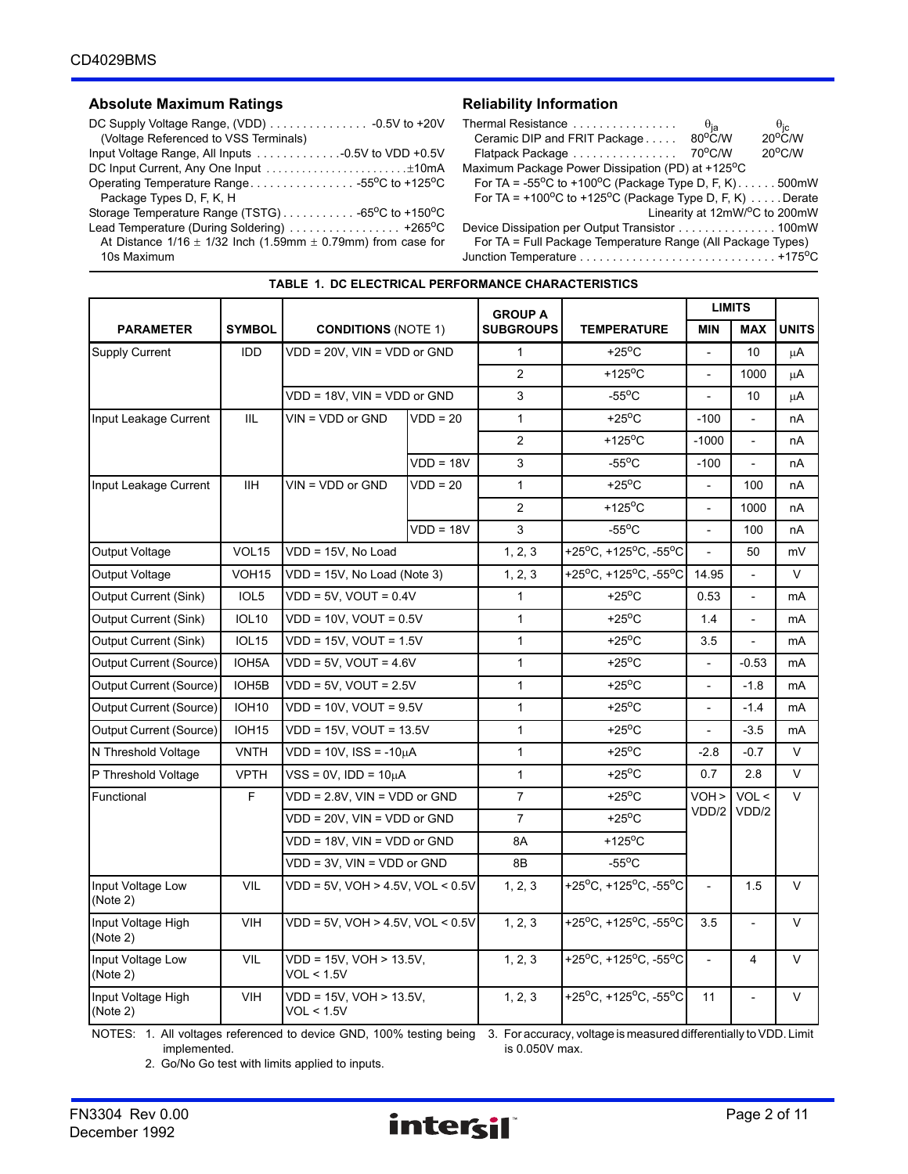### Absolute Maximum Ratings **Reliability Information**

| (Voltage Referenced to VSS Terminals)                                |
|----------------------------------------------------------------------|
|                                                                      |
| DC Input Current, Any One Input ±10mA                                |
| Operating Temperature Range55°C to +125°C                            |
| Package Types D, F, K, H                                             |
|                                                                      |
| Lead Temperature (During Soldering)  +265°C                          |
| At Distance $1/16 \pm 1/32$ lnch (1.59mm $\pm$ 0.79mm) from case for |
| 10s Maximum                                                          |

| Thermal Resistance                                                             | $\theta_{\mathsf{ja}}$ |                                                |
|--------------------------------------------------------------------------------|------------------------|------------------------------------------------|
| Ceramic DIP and FRIT Package                                                   | $80^{\circ}$ C/W       | $\frac{\theta_{\rm jc}}{20^{\circ} \text{CM}}$ |
| Flatpack Package                                                               | 70°C/W                 | $20^{\circ}$ C/W                               |
| Maximum Package Power Dissipation (PD) at +125°C                               |                        |                                                |
| For TA = -55 <sup>o</sup> C to +100 <sup>o</sup> C (Package Type D, F, K)500mW |                        |                                                |
| For TA = +100°C to +125°C (Package Type D, F, K) Derate                        |                        |                                                |
|                                                                                |                        | Linearity at 12mW/°C to 200mW                  |
| Device Dissipation per Output Transistor 100mW                                 |                        |                                                |
| For TA = Full Package Temperature Range (All Package Types)                    |                        |                                                |
|                                                                                |                        |                                                |

|                                |                    |                                             |             | <b>GROUP A</b>   |                           | <b>LIMITS</b>            |                          |                |
|--------------------------------|--------------------|---------------------------------------------|-------------|------------------|---------------------------|--------------------------|--------------------------|----------------|
| <b>PARAMETER</b>               | <b>SYMBOL</b>      | <b>CONDITIONS (NOTE 1)</b>                  |             | <b>SUBGROUPS</b> | <b>TEMPERATURE</b>        | <b>MIN</b>               | <b>MAX</b>               | <b>UNITS</b>   |
| Supply Current                 | <b>IDD</b>         | VDD = 20V, VIN = VDD or GND                 |             | $\mathbf{1}$     | +25 $\mathrm{^{\circ}C}$  |                          | 10                       | μA             |
|                                |                    |                                             |             | $\overline{2}$   | $+125$ <sup>o</sup> C     | $\blacksquare$           | 1000                     | μA             |
|                                |                    | VDD = 18V, VIN = VDD or GND                 |             | 3                | $-55^{\circ}$ C           |                          | 10                       | μA             |
| Input Leakage Current          | <b>IIL</b>         | $VIN = VDD$ or $GND$                        | $VDD = 20$  | $\mathbf{1}$     | $+25^{\circ}$ C           | $-100$                   |                          | nA             |
|                                |                    |                                             |             | $\overline{2}$   | $+125$ <sup>o</sup> C     | $-1000$                  |                          | nA             |
|                                |                    |                                             | $VDD = 18V$ | 3                | $-55^{\circ}$ C           | $-100$                   | $\overline{\phantom{a}}$ | nA             |
| Input Leakage Current          | IIH.               | $VIN = VDD$ or $GND$                        | $VDD = 20$  | $\mathbf{1}$     | $+25^{\circ}$ C           |                          | 100                      | nA             |
|                                |                    |                                             |             | $\overline{2}$   | +125 $\mathrm{^{\circ}C}$ | $\overline{a}$           | 1000                     | nA             |
|                                |                    |                                             | $VDD = 18V$ | 3                | $-55^{\circ}$ C           | $\blacksquare$           | 100                      | nA             |
| Output Voltage                 | VOL <sub>15</sub>  | VDD = 15V. No Load                          |             | 1, 2, 3          | +25°C, +125°C, -55°C      | $\mathbf{r}$             | 50                       | mV             |
| Output Voltage                 | VOH <sub>15</sub>  | VDD = 15V, No Load (Note 3)                 |             | 1, 2, 3          | +25°C, +125°C, -55°C      | 14.95                    |                          | V              |
| Output Current (Sink)          | IOL <sub>5</sub>   | $VDD = 5V$ , $VOUT = 0.4V$                  |             | 1                | $+25^{\circ}$ C           | 0.53                     | $\overline{a}$           | mA             |
| <b>Output Current (Sink)</b>   | <b>IOL10</b>       | $VDD = 10V$ , $VOUT = 0.5V$                 |             | 1                | +25 $\mathrm{^{\circ}C}$  | 1.4                      | $\overline{\phantom{a}}$ | mA             |
| <b>Output Current (Sink)</b>   | <b>IOL15</b>       | $VDD = 15V$ . $VOUT = 1.5V$                 |             | $\mathbf{1}$     | $+25^{\circ}$ C           | 3.5                      | $\mathbf{r}$             | mA             |
| Output Current (Source)        | IOH <sub>5</sub> A | $VDD = 5V$ , $VOUT = 4.6V$                  |             | $\mathbf{1}$     | $+25^{\circ}$ C           |                          | $-0.53$                  | mA             |
| Output Current (Source)        | IOH5B              | $VDD = 5V$ , $VOUT = 2.5V$                  |             | 1                | $+25^{\circ}$ C           | $\blacksquare$           | $-1.8$                   | mA             |
| Output Current (Source)        | <b>IOH10</b>       | $VDD = 10V$ , $VOUT = 9.5V$                 |             | $\mathbf{1}$     | $+25^{\circ}$ C           | $\overline{\phantom{a}}$ | $-1.4$                   | m <sub>A</sub> |
| Output Current (Source)        | <b>IOH15</b>       | $VDD = 15V$ , $VOUT = 13.5V$                |             | $\mathbf{1}$     | $+25^{\circ}$ C           | $\mathbf{r}$             | $-3.5$                   | mA             |
| N Threshold Voltage            | <b>VNTH</b>        | $VDD = 10V$ , $ISS = -10\mu A$              |             | 1                | $+25^{\circ}$ C           | $-2.8$                   | $-0.7$                   | $\vee$         |
| P Threshold Voltage            | <b>VPTH</b>        | $VSS = 0V$ , $IDD = 10\mu A$                |             | $\mathbf{1}$     | +25 $\mathrm{^{\circ}C}$  | 0.7                      | 2.8                      | V              |
| Functional                     | F                  | $VDD = 2.8V$ , $VIN = VDD$ or $GND$         |             | $\overline{7}$   | +25 $\mathrm{^{\circ}C}$  | VOH >                    | VOL <                    | $\vee$         |
|                                |                    | VDD = 20V, VIN = VDD or GND                 |             | $\overline{7}$   | $+25^{\circ}$ C           |                          | VDD/2 VDD/2              |                |
|                                |                    | VDD = 18V, VIN = VDD or GND                 |             | 8A               | +125 $\mathrm{^{\circ}C}$ |                          |                          |                |
|                                |                    | $VDD = 3V$ , $VIN = VDD$ or $GND$           |             | 8B               | $-55^{\circ}$ C           |                          |                          |                |
| Input Voltage Low<br>(Note 2)  | <b>VIL</b>         | $VDD = 5V$ , $VOH > 4.5V$ , $VOL < 0.5V$    |             | 1, 2, 3          | +25°C, +125°C, -55°C      |                          | 1.5                      | V              |
| Input Voltage High<br>(Note 2) | <b>VIH</b>         | $VDD = 5V$ , $VOH > 4.5V$ , $VOL < 0.5V$    |             | 1, 2, 3          | +25°C, +125°C, -55°C      | 3.5                      | $\overline{a}$           | $\vee$         |
| Input Voltage Low<br>(Note 2)  | VIL                | VDD = 15V, VOH > 13.5V,<br>VOL < 1.5V       |             | 1, 2, 3          | +25°C, +125°C, -55°C      |                          | 4                        | $\vee$         |
| Input Voltage High<br>(Note 2) | <b>VIH</b>         | $VDD = 15V$ , $VOH > 13.5V$ ,<br>VOL < 1.5V |             | 1, 2, 3          | +25°C. +125°C. -55°C      | 11                       |                          | V              |

# **TABLE 1. DC ELECTRICAL PERFORMANCE CHARACTERISTICS**

NOTES: 1. All voltages referenced to device GND, 100% testing being 3. For accuracy, voltage is measured differentially to VDD. Limit implemented.

is 0.050V max.

2. Go/No Go test with limits applied to inputs.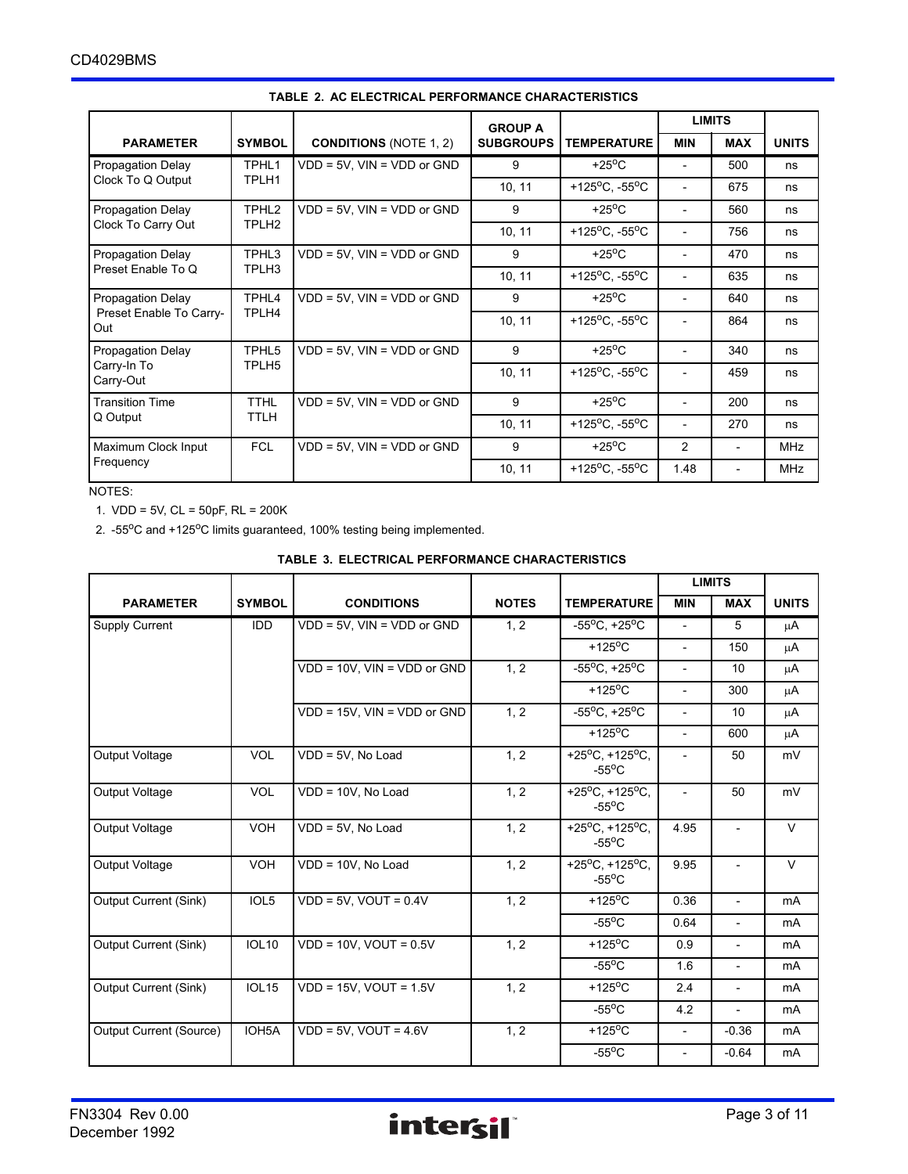|                                               |                   |                                   | <b>GROUP A</b>   |                                              | <b>LIMITS</b>            |                          |              |
|-----------------------------------------------|-------------------|-----------------------------------|------------------|----------------------------------------------|--------------------------|--------------------------|--------------|
| <b>PARAMETER</b>                              | <b>SYMBOL</b>     | <b>CONDITIONS (NOTE 1, 2)</b>     | <b>SUBGROUPS</b> | <b>TEMPERATURE</b>                           | <b>MIN</b>               | <b>MAX</b>               | <b>UNITS</b> |
| Propagation Delay                             | TPHL1             | $VDD = 5V$ , $VIN = VDD$ or $GND$ | 9                | $+25^{\circ}$ C                              |                          | 500                      | ns           |
| Clock To Q Output                             | TPLH1             |                                   | 10, 11           | +125 <sup>o</sup> C, -55 <sup>o</sup> C      |                          | 675                      | ns           |
| Propagation Delay                             | TPHL <sub>2</sub> | $VDD = 5V$ , $VIN = VDD$ or $GND$ | 9                | $+25^{\circ}$ C                              |                          | 560                      | ns           |
| Clock To Carry Out                            | TPLH <sub>2</sub> |                                   | 10, 11           | +125 <sup>o</sup> C, -55 <sup>o</sup> C      | $\overline{\phantom{0}}$ | 756                      | ns           |
| Propagation Delay                             | TPHL3             | $VDD = 5V$ , $VIN = VDD$ or $GND$ | 9                | $+25^{\circ}$ C                              |                          | 470                      | ns           |
| Preset Enable To Q<br>TPLH3                   |                   |                                   | 10, 11           | +125 $\rm{^{\circ}C}$ , -55 $\rm{^{\circ}C}$ |                          | 635                      | ns           |
| Propagation Delay                             | TPHL4             | $VDD = 5V$ , $VIN = VDD$ or $GND$ | 9                | $+25^{\circ}$ C                              |                          | 640                      | ns           |
| Preset Enable To Carry-<br>TPLH4<br>Out       |                   |                                   | 10, 11           | +125 <sup>o</sup> C, -55 <sup>o</sup> C      |                          | 864                      | ns           |
| Propagation Delay                             | TPHL5             | $VDD = 5V$ , $VIN = VDD$ or $GND$ | 9                | $+25^{\circ}$ C                              |                          | 340                      | ns           |
| Carry-In To<br>TPLH <sub>5</sub><br>Carry-Out |                   |                                   | 10, 11           | +125 $^{\circ}$ C, -55 $^{\circ}$ C          |                          | 459                      | ns           |
| <b>Transition Time</b>                        | <b>TTHL</b>       | $VDD = 5V$ , $VIN = VDD$ or $GND$ | 9                | $+25^{\circ}$ C                              |                          | 200                      | ns           |
| TTLH<br>Q Output                              |                   |                                   | 10, 11           | +125 <sup>o</sup> C, -55 <sup>o</sup> C      |                          | 270                      | ns           |
| Maximum Clock Input                           | <b>FCL</b>        | $VDD = 5V$ , $VIN = VDD$ or $GND$ | 9                | $+25^{\circ}$ C                              | $\overline{2}$           | $\overline{\phantom{a}}$ | <b>MHz</b>   |
| Frequency                                     |                   |                                   | 10, 11           | +125 <sup>o</sup> C, -55 <sup>o</sup> C      | 1.48                     |                          | <b>MHz</b>   |

#### **TABLE 2. AC ELECTRICAL PERFORMANCE CHARACTERISTICS**

NOTES:

1. VDD = 5V, CL = 50pF, RL = 200K

2. -55°C and +125°C limits guaranteed, 100% testing being implemented.

|  | TABLE 3. ELECTRICAL PERFORMANCE CHARACTERISTICS |
|--|-------------------------------------------------|
|  |                                                 |

|                         |                    |                                   |                                    |                                                             | <b>LIMITS</b>            |                          |                |
|-------------------------|--------------------|-----------------------------------|------------------------------------|-------------------------------------------------------------|--------------------------|--------------------------|----------------|
| <b>PARAMETER</b>        | <b>SYMBOL</b>      | <b>CONDITIONS</b>                 | <b>NOTES</b><br><b>TEMPERATURE</b> |                                                             | <b>MIN</b>               | <b>MAX</b>               | <b>UNITS</b>   |
| Supply Current          | <b>IDD</b>         | $VDD = 5V$ . $VIN = VDD$ or $GND$ | 1, 2                               | $-55^{\circ}$ C, $+25^{\circ}$ C                            | $\overline{\phantom{a}}$ | 5                        | μA             |
|                         |                    |                                   |                                    | +125 $\mathrm{^{\circ}C}$                                   | $\overline{\phantom{a}}$ | 150                      | μA             |
|                         |                    | VDD = 10V, VIN = VDD or GND       | 1, 2                               | $-55^{\circ}$ C, $+25^{\circ}$ C                            | $\overline{\phantom{0}}$ | 10                       | μA             |
|                         |                    |                                   |                                    | $+125$ <sup>o</sup> C                                       | $\overline{\phantom{0}}$ | 300                      | $\mu$ A        |
|                         |                    | VDD = 15V, VIN = VDD or GND       | 1, 2                               | $-55^{\circ}$ C, +25 $^{\circ}$ C                           | $\overline{\phantom{0}}$ | 10                       | μA             |
|                         |                    |                                   |                                    | +125 $\mathrm{^{\circ}C}$                                   | $\overline{\phantom{a}}$ | 600                      | μA             |
| Output Voltage          | <b>VOL</b>         | VDD = 5V, No Load                 | 1, 2                               | +25 $^{\circ}$ C, +125 $^{\circ}$ C,<br>$-55^{\circ}$ C     |                          | 50                       | mV             |
| Output Voltage          | <b>VOL</b>         | VDD = 10V, No Load                | 1, 2                               | $+25^{\circ}$ C, +125°C,<br>$-55^{\circ}$ C                 | $\overline{\phantom{a}}$ | 50                       | mV             |
| Output Voltage          | <b>VOH</b>         | VDD = 5V, No Load                 | 1, 2                               | +25 <sup>o</sup> C, +125 <sup>o</sup> C,<br>$-55^{\circ}$ C | 4.95                     |                          | $\vee$         |
| Output Voltage          | <b>VOH</b>         | VDD = 10V, No Load                | 1, 2                               | +25 $^{\circ}$ C, +125 $^{\circ}$ C,<br>$-55^{\circ}$ C     | 9.95                     | $\overline{\phantom{a}}$ | $\vee$         |
| Output Current (Sink)   | IOL5               | $VDD = 5V$ , $VOUT = 0.4V$        | 1, 2                               | $+125$ <sup>o</sup> C                                       | 0.36                     | $\overline{\phantom{a}}$ | mA             |
|                         |                    |                                   |                                    | $-55^{\circ}$ C                                             | 0.64                     | $\overline{\phantom{a}}$ | mA             |
| Output Current (Sink)   | <b>IOL10</b>       | $VDD = 10V$ , $VOUT = 0.5V$       | 1, 2                               | +125 $\mathrm{^{\circ}C}$                                   | 0.9                      | $\overline{\phantom{a}}$ | mA             |
|                         |                    |                                   |                                    | $-55^{\circ}$ C                                             | 1.6                      | $\overline{\phantom{a}}$ | m <sub>A</sub> |
| Output Current (Sink)   | <b>IOL15</b>       | $VDD = 15V$ , $VOUT = 1.5V$       | 1, 2                               | $+125$ <sup>o</sup> C                                       | 2.4                      |                          | m <sub>A</sub> |
|                         |                    |                                   |                                    | $-55^{\circ}$ C                                             | 4.2                      | $\overline{\phantom{a}}$ | mA             |
| Output Current (Source) | IOH <sub>5</sub> A | $VDD = 5V$ , $VOUT = 4.6V$        | 1, 2                               | +125 $\mathrm{^{\circ}C}$                                   | $\overline{\phantom{a}}$ | $-0.36$                  | m <sub>A</sub> |
|                         |                    |                                   |                                    | $-55^{\circ}$ C                                             |                          | $-0.64$                  | mA             |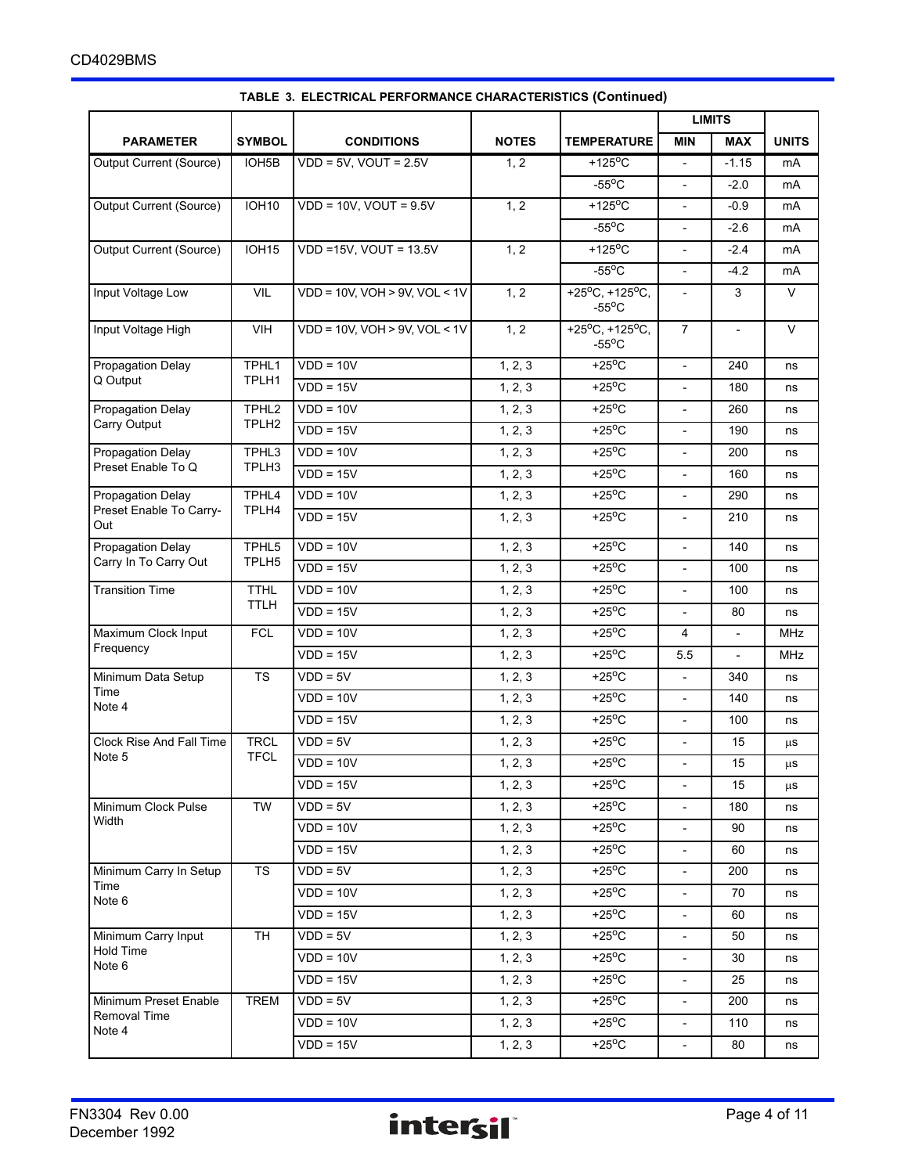|                                   |                    |                                       |                       |                                                         |                          | <b>LIMITS</b>            |              |  |
|-----------------------------------|--------------------|---------------------------------------|-----------------------|---------------------------------------------------------|--------------------------|--------------------------|--------------|--|
| <b>PARAMETER</b>                  | <b>SYMBOL</b>      | <b>CONDITIONS</b>                     | <b>NOTES</b>          | <b>TEMPERATURE</b>                                      | <b>MIN</b>               | <b>MAX</b>               | <b>UNITS</b> |  |
| Output Current (Source)           | IOH <sub>5</sub> B | $VDD = 5V$ , $VOUT = 2.5V$            | 1, 2                  | $+125^{\circ}$ C                                        | $\overline{\phantom{a}}$ | $-1.15$                  | mA           |  |
|                                   |                    |                                       |                       | $-55^{\circ}$ C                                         |                          | $-2.0$                   | mA           |  |
| Output Current (Source)           | <b>IOH10</b>       | $VDD = 10V$ , $VOUT = 9.5V$           | 1, 2                  | $+125$ <sup>o</sup> C                                   | $\mathbf{r}$             | $-0.9$                   | mA           |  |
|                                   |                    |                                       |                       | $-55^{\circ}$ C                                         | $\overline{a}$           | $-2.6$                   | mA           |  |
| Output Current (Source)           | <b>IOH15</b>       | VDD =15V, VOUT = 13.5V                | 1, 2                  | $+125$ <sup>o</sup> C                                   | $\overline{\phantom{a}}$ | $-2.4$                   | mA           |  |
|                                   |                    |                                       |                       | $-55^{\circ}$ C                                         | $\blacksquare$           | $-4.2$                   | mA           |  |
| Input Voltage Low                 | <b>VIL</b>         | $VDD = 10V$ , $VOH > 9V$ , $VOL < 1V$ | 1, 2                  | +25 $^{\circ}$ C, +125 $^{\circ}$ C,<br>$-55^{\circ}$ C |                          | 3                        | V            |  |
| Input Voltage High                | <b>VIH</b>         | VDD = 10V, VOH > 9V, VOL < 1V         | 1, 2                  | +25 $^{\circ}$ C, +125 $^{\circ}$ C,<br>$-55^{\circ}$ C | $\overline{7}$           | $\overline{\phantom{a}}$ | $\vee$       |  |
| <b>Propagation Delay</b>          | TPHL1              | $VDD = 10V$                           | 1, 2, 3               | $+25^{\circ}$ C                                         | $\blacksquare$           | 240                      | ns           |  |
| Q Output                          | TPLH1              | $VDD = 15V$                           | 1, 2, 3               | $+25^{\circ}$ C                                         | $\blacksquare$           | 180                      | ns           |  |
| Propagation Delay                 | TPHL <sub>2</sub>  | $VDD = 10V$                           | 1, 2, 3               | $+25^{\circ}$ C                                         | $\overline{\phantom{a}}$ | 260                      | ns           |  |
| Carry Output                      | TPLH <sub>2</sub>  | $VDD = 15V$                           | 1, 2, 3               | $+25^{\circ}$ C                                         | $\blacksquare$           | 190                      | ns           |  |
| Propagation Delay                 | TPHL3              | $VDD = 10V$                           | 1, 2, 3               | $+25^{\circ}$ C                                         |                          | 200                      | ns           |  |
| Preset Enable To Q                | TPLH <sub>3</sub>  | $VDD = 15V$                           | 1, 2, 3               | $+25^{\circ}$ C                                         | $\overline{\phantom{a}}$ | 160                      | ns           |  |
| Propagation Delay                 | TPHL4              | $VDD = 10V$                           | 1, 2, 3               | $+25^{\circ}$ C                                         | $\overline{\phantom{a}}$ | 290                      | ns           |  |
| Preset Enable To Carry-<br>Out    | TPLH4              | $VDD = 15V$                           | 1, 2, 3               | $+25^{\circ}$ C                                         | $\blacksquare$           | 210                      | ns           |  |
| Propagation Delay                 | TPHL5              | $VDD = 10V$                           | 1, 2, 3               | $+25^{\circ}$ C                                         | $\blacksquare$           | 140                      | ns           |  |
| Carry In To Carry Out             | TPLH5              | $VDD = 15V$                           | 1, 2, 3               | $+25^{\circ}$ C                                         |                          | 100                      | ns           |  |
| <b>Transition Time</b>            | <b>TTHL</b>        | $VDD = 10V$                           | 1, 2, 3               | $+25^{\circ}$ C                                         | $\overline{\phantom{a}}$ | 100                      | ns           |  |
|                                   | <b>TTLH</b>        | $VDD = 15V$                           | 1, 2, 3               | $+25^{\circ}$ C                                         |                          | 80                       | ns           |  |
| <b>FCL</b><br>Maximum Clock Input |                    | $VDD = 10V$                           | 1, 2, 3               | $+25^{\circ}$ C                                         | 4                        |                          | MHz          |  |
| Frequency                         |                    | $VDD = 15V$                           | 1, 2, 3               | $+25^{\circ}$ C                                         | 5.5                      | $\overline{\phantom{a}}$ | MHz          |  |
| Minimum Data Setup                | <b>TS</b>          | $VDD = 5V$                            | 1, 2, 3               | $+25^{\circ}$ C                                         | $\overline{\phantom{a}}$ | 340                      | ns           |  |
| Time<br>Note 4                    |                    | $VDD = 10V$                           | 1, 2, 3               | $+25^{\circ}$ C                                         | $\blacksquare$           | 140                      | ns           |  |
|                                   |                    | $VDD = 15V$                           | 1, 2, 3               | $+25^{\circ}$ C                                         |                          | 100                      | ns           |  |
| <b>Clock Rise And Fall Time</b>   | <b>TRCL</b>        | $VDD = 5V$                            | 1, 2, 3               | $+25^{\circ}$ C                                         | $\overline{\phantom{a}}$ | 15                       | μS           |  |
| Note 5                            | <b>TFCL</b>        | $VDD = 10V$                           | 1, 2, 3               | $+25^{\circ}$ C                                         |                          | 15                       | μS           |  |
|                                   |                    | $VDD = 15V$                           | 1, 2, 3               | $+25^{\circ}$ C                                         | $\overline{\phantom{a}}$ | 15                       | $\mu$ S      |  |
| Minimum Clock Pulse               | TW                 | $VDD = 5V$                            | 1, 2, 3               | $+25^{\circ}$ C                                         | $\overline{\phantom{a}}$ | 180                      | ns           |  |
| Width                             |                    | $VDD = 10V$                           | 1, 2, 3               | $+25^{\circ}$ C                                         | $\overline{\phantom{a}}$ | 90                       | ns           |  |
|                                   |                    | $VDD = 15V$                           | $\overline{1}$ , 2, 3 | $+25^{\circ}$ C                                         | $\overline{\phantom{a}}$ | 60                       | ns           |  |
| Minimum Carry In Setup            | <b>TS</b>          | $VDD = 5V$                            | 1, 2, 3               | $+25^{\circ}$ C                                         | $\overline{\phantom{a}}$ | 200                      | ns           |  |
| Time<br>Note 6                    |                    | $VDD = 10V$                           | 1, 2, 3               | $+25^{\circ}$ C                                         | $\overline{\phantom{a}}$ | 70                       | ns           |  |
|                                   |                    | $VDD = 15V$                           | 1, 2, 3               | $+25^{\circ}$ C                                         |                          | 60                       | ns           |  |
| Minimum Carry Input               | <b>TH</b>          | $VDD = 5V$                            | 1, 2, 3               | $+25^{\circ}$ C                                         | $\overline{\phantom{a}}$ | 50                       | ns           |  |
| Hold Time<br>Note 6               |                    | $VDD = 10V$                           | 1, 2, 3               | $+25^{\circ}$ C                                         | $\frac{1}{2}$            | 30                       | ns           |  |
|                                   |                    | $VDD = 15V$                           | 1, 2, 3               | $+25^{\circ}$ C                                         | $\overline{\phantom{a}}$ | 25                       | ns           |  |
| Minimum Preset Enable             | <b>TREM</b>        | $VDD = 5V$                            | 1, 2, 3               | $+25^{\circ}$ C                                         | $\overline{\phantom{a}}$ | 200                      | ns           |  |
| <b>Removal Time</b><br>Note 4     |                    | $VDD = 10V$                           | 1, 2, 3               | $+25^{\circ}$ C                                         | $\overline{\phantom{a}}$ | 110                      | ns           |  |
|                                   |                    | $VDD = 15V$                           | 1, 2, 3               | $+25^{\circ}$ C                                         | $\overline{\phantom{a}}$ | 80                       | ns           |  |

### **TABLE 3. ELECTRICAL PERFORMANCE CHARACTERISTICS (Continued)**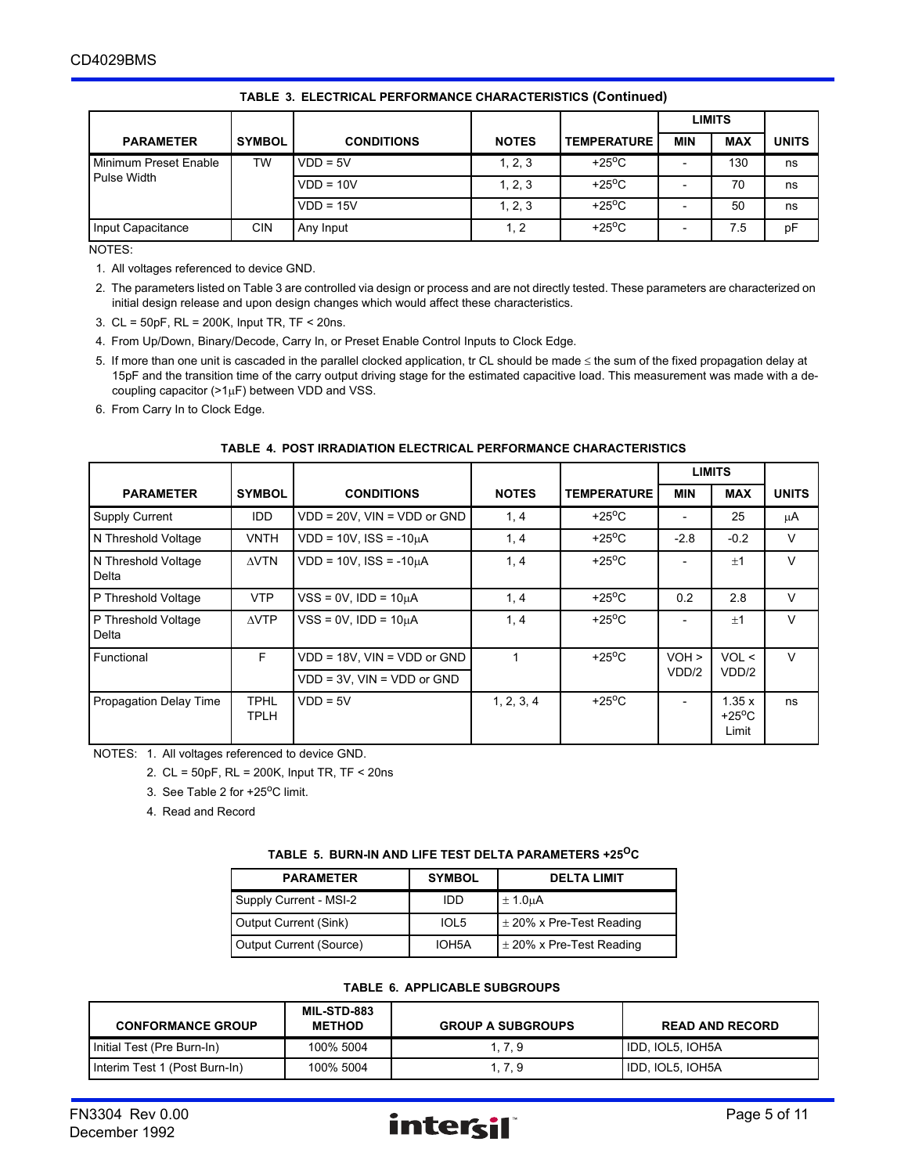|                                             |               |                   |              |                               | <b>LIMITS</b> |            |              |
|---------------------------------------------|---------------|-------------------|--------------|-------------------------------|---------------|------------|--------------|
| <b>PARAMETER</b>                            | <b>SYMBOL</b> | <b>CONDITIONS</b> | <b>NOTES</b> | <b>TEMPERATURE</b>            | <b>MIN</b>    | <b>MAX</b> | <b>UNITS</b> |
| Minimum Preset Enable<br><b>Pulse Width</b> | TW            | $VDD = 5V$        | 1, 2, 3      | +25 $\mathrm{^{\circ}C}$      |               | 130        | ns           |
|                                             |               | $VDD = 10V$       | 1, 2, 3      | +25 $\mathrm{^{\mathrm{o}}C}$ |               | 70         | ns           |
|                                             |               | $VDD = 15V$       | 1, 2, 3      | +25 $\mathrm{^{\circ}C}$      |               | 50         | ns           |
| Input Capacitance                           | <b>CIN</b>    | Any Input         | 1, 2         | +25 $\mathrm{^{\circ}C}$      |               | 7.5        | pF           |

#### **TABLE 3. ELECTRICAL PERFORMANCE CHARACTERISTICS (Continued)**

NOTES:

1. All voltages referenced to device GND.

2. The parameters listed on Table 3 are controlled via design or process and are not directly tested. These parameters are characterized on initial design release and upon design changes which would affect these characteristics.

3. CL = 50pF, RL = 200K, Input TR, TF < 20ns.

4. From Up/Down, Binary/Decode, Carry In, or Preset Enable Control Inputs to Clock Edge.

5. If more than one unit is cascaded in the parallel clocked application, tr CL should be made  $\leq$  the sum of the fixed propagation delay at 15pF and the transition time of the carry output driving stage for the estimated capacitive load. This measurement was made with a decoupling capacitor  $(>1\mu F)$  between VDD and VSS.

6. From Carry In to Clock Edge.

#### **TABLE 4. POST IRRADIATION ELECTRICAL PERFORMANCE CHARACTERISTICS**

|                               |                                          |                                    |              |                               |            | <b>LIMITS</b>                     |              |
|-------------------------------|------------------------------------------|------------------------------------|--------------|-------------------------------|------------|-----------------------------------|--------------|
| <b>PARAMETER</b>              | <b>SYMBOL</b>                            | <b>CONDITIONS</b>                  | <b>NOTES</b> | <b>TEMPERATURE</b>            | <b>MIN</b> | <b>MAX</b>                        | <b>UNITS</b> |
| <b>Supply Current</b>         | IDD.                                     | $VDD = 20V$ , $VIN = VDD$ or $GND$ | 1, 4         | $+25^{\circ}$ C               |            | 25                                | μA           |
| N Threshold Voltage           | <b>VNTH</b>                              | $VDD = 10V$ , $ISS = -10\mu A$     | 1, 4         | $+25^{\circ}$ C               | $-2.8$     | $-0.2$                            | $\vee$       |
| N Threshold Voltage<br>Delta  | $\triangle VTN$                          | $VDD = 10V$ . $ISS = -10uA$        | 1, 4         | $+25^{\circ}$ C               |            | $+1$                              | $\vee$       |
| P Threshold Voltage           | <b>VTP</b>                               | $VSS = 0V$ , $IDD = 10\mu A$       | 1, 4         | $+25^{\circ}$ C               | 0.2        | 2.8                               | $\vee$       |
| P Threshold Voltage<br>Delta  | $\triangle VTP$                          | $VSS = 0V$ . $IDD = 10uA$          | 1, 4         | +25 $\mathrm{^{\mathrm{o}}C}$ |            | $+1$                              | $\vee$       |
| Functional                    | F.<br>$VDD = 18V$ , $VIN = VDD$ or $GND$ |                                    |              | $+25^{\circ}$ C               | $VOH$ >    | VOL <                             | $\vee$       |
|                               |                                          | $VDD = 3V$ , $VIN = VDD$ or $GND$  |              |                               | VDD/2      | VDD/2                             |              |
| <b>Propagation Delay Time</b> | <b>TPHL</b><br><b>TPLH</b>               | $VDD = 5V$                         | 1, 2, 3, 4   | $+25^{\circ}$ C               |            | 1.35x<br>$+25^{\circ}$ C<br>Limit | ns           |

NOTES: 1. All voltages referenced to device GND.

2. CL = 50pF, RL = 200K, Input TR, TF < 20ns

3. See Table 2 for  $+25^{\circ}$ C limit.

4. Read and Record

| <b>PARAMETER</b>        | <b>SYMBOL</b> | <b>DELTA LIMIT</b>           |
|-------------------------|---------------|------------------------------|
| Supply Current - MSI-2  | חחו           | $\pm$ 1.0 $\mu$ A            |
| Output Current (Sink)   | IOL5          | $\pm$ 20% x Pre-Test Reading |
| Output Current (Source) | IOH5A         | $\pm$ 20% x Pre-Test Reading |

#### **TABLE 5. BURN-IN AND LIFE TEST DELTA PARAMETERS +25OC**

#### **TABLE 6. APPLICABLE SUBGROUPS**

| <b>CONFORMANCE GROUP</b>      | <b>MIL-STD-883</b><br><b>METHOD</b> | <b>GROUP A SUBGROUPS</b> | <b>READ AND RECORD</b> |
|-------------------------------|-------------------------------------|--------------------------|------------------------|
| Initial Test (Pre Burn-In)    | 100% 5004                           | 1, 7, 9                  | IDD, IOL5, IOH5A       |
| Interim Test 1 (Post Burn-In) | 100% 5004                           | . . 7. 9                 | IDD, IOL5, IOH5A       |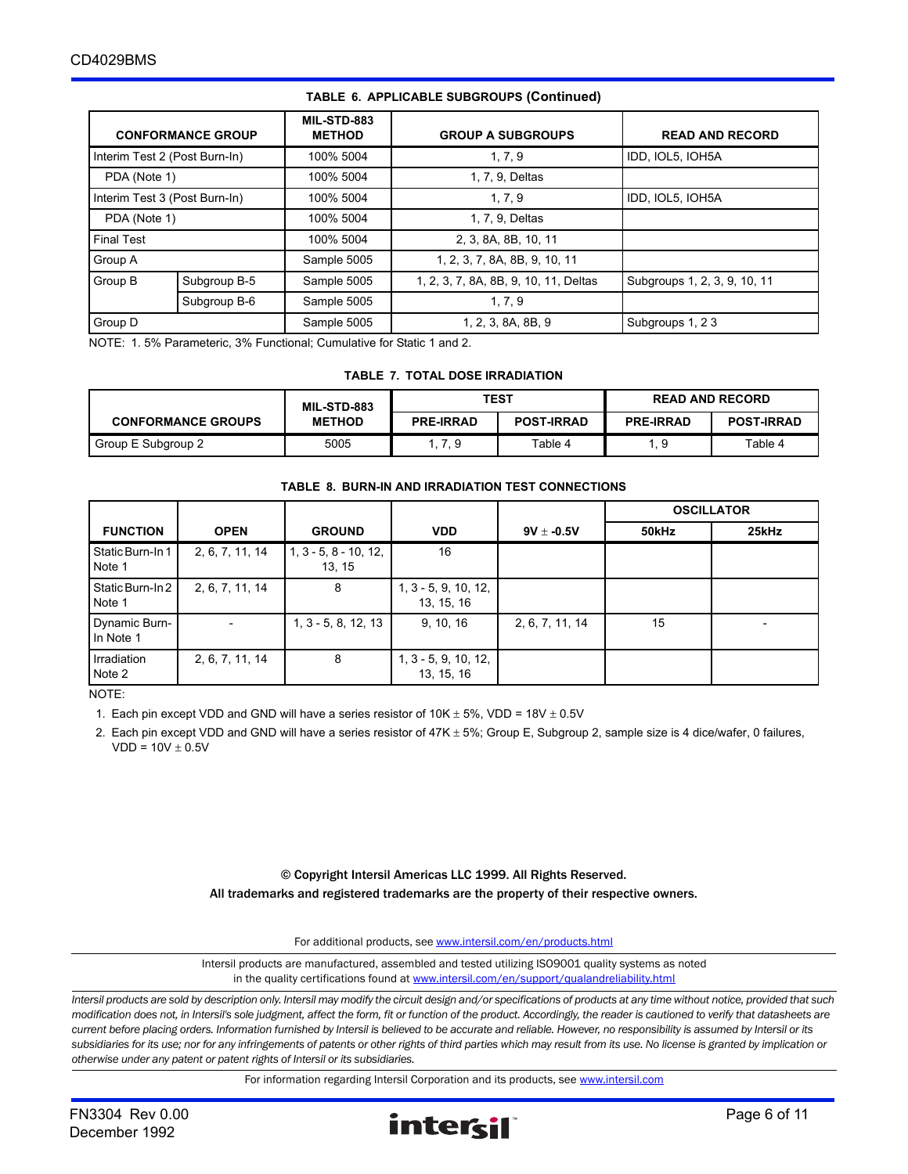| <b>CONFORMANCE GROUP</b> |                               | <b>MIL-STD-883</b><br><b>METHOD</b> | <b>GROUP A SUBGROUPS</b>              | <b>READ AND RECORD</b>       |
|--------------------------|-------------------------------|-------------------------------------|---------------------------------------|------------------------------|
|                          | Interim Test 2 (Post Burn-In) | 100% 5004                           | 1, 7, 9                               | IDD, IOL5, IOH5A             |
| PDA (Note 1)             |                               | 100% 5004                           | 1, 7, 9, Deltas                       |                              |
|                          | Interim Test 3 (Post Burn-In) | 100% 5004                           | 1.7.9                                 | IDD, IOL5, IOH5A             |
| PDA (Note 1)             |                               | 100% 5004                           | 1, 7, 9, Deltas                       |                              |
| <b>Final Test</b>        |                               | 100% 5004                           | 2, 3, 8A, 8B, 10, 11                  |                              |
| Group A                  |                               | Sample 5005                         | 1, 2, 3, 7, 8A, 8B, 9, 10, 11         |                              |
| Group B                  | Subgroup B-5                  | Sample 5005                         | 1, 2, 3, 7, 8A, 8B, 9, 10, 11, Deltas | Subgroups 1, 2, 3, 9, 10, 11 |
|                          | Subgroup B-6                  | Sample 5005                         | 1, 7, 9                               |                              |
| Group D                  |                               | Sample 5005                         | 1, 2, 3, 8A, 8B, 9                    | Subgroups 1, 23              |

#### **TABLE 6. APPLICABLE SUBGROUPS (Continued)**

NOTE: 1. 5% Parameteric, 3% Functional; Cumulative for Static 1 and 2.

#### **TABLE 7. TOTAL DOSE IRRADIATION**

|                           | MIL-STD-883   | <b>TEST</b>      |                   | <b>READ AND RECORD</b> |                   |
|---------------------------|---------------|------------------|-------------------|------------------------|-------------------|
| <b>CONFORMANCE GROUPS</b> | <b>METHOD</b> | <b>PRE-IRRAD</b> | <b>POST-IRRAD</b> | <b>PRE-IRRAD</b>       | <b>POST-IRRAD</b> |
| Group E Subgroup 2        | 5005          | 1, 7, 9          | Table 4           | 1.9                    | Table 4           |

#### **TABLE 8. BURN-IN AND IRRADIATION TEST CONNECTIONS**

|                            |                 |                                   |                                      |                 | <b>OSCILLATOR</b> |       |
|----------------------------|-----------------|-----------------------------------|--------------------------------------|-----------------|-------------------|-------|
| <b>FUNCTION</b>            | <b>OPEN</b>     | <b>GROUND</b>                     | <b>VDD</b>                           | $9V \pm -0.5V$  | 50kHz             | 25kHz |
| Static Burn-In 1<br>Note 1 | 2, 6, 7, 11, 14 | $1, 3 - 5, 8 - 10, 12,$<br>13, 15 | 16                                   |                 |                   |       |
| Static Burn-In 2<br>Note 1 | 2, 6, 7, 11, 14 | 8                                 | $1, 3 - 5, 9, 10, 12,$<br>13, 15, 16 |                 |                   |       |
| Dynamic Burn-<br>In Note 1 |                 | $1, 3 - 5, 8, 12, 13$             | 9, 10, 16                            | 2, 6, 7, 11, 14 | 15                |       |
| Irradiation<br>Note 2      | 2, 6, 7, 11, 14 | 8                                 | 1, 3 - 5, 9, 10, 12,<br>13, 15, 16   |                 |                   |       |

NOTE:

1. Each pin except VDD and GND will have a series resistor of  $10K \pm 5\%$ , VDD =  $18V \pm 0.5V$ 

2. Each pin except VDD and GND will have a series resistor of  $47K \pm 5\%$ ; Group E, Subgroup 2, sample size is 4 dice/wafer, 0 failures,  $VDD = 10V \pm 0.5V$ 

> © Copyright Intersil Americas LLC 1999. All Rights Reserved. All trademarks and registered trademarks are the property of their respective owners.

> > For additional products, see [www.intersil.com/en/products.html](http://www.intersil.com/en/products.html?utm_source=Intersil&utm_medium=datasheet&utm_campaign=disclaimer-ds-footer)

[Intersil products are manufactured, assembled and tested utilizing ISO9001 quality systems as noted](http://www.intersil.com/en/products.html?utm_source=Intersil&utm_medium=datasheet&utm_campaign=disclaimer-ds-footer) in the quality certifications found at [www.intersil.com/en/support/qualandreliability.html](http://www.intersil.com/en/support/qualandreliability.html?utm_source=Intersil&utm_medium=datasheet&utm_campaign=disclaimer-ds-footer)

*Intersil products are sold by description only. Intersil may modify the circuit design and/or specifications of products at any time without notice, provided that such modification does not, in Intersil's sole judgment, affect the form, fit or function of the product. Accordingly, the reader is cautioned to verify that datasheets are current before placing orders. Information furnished by Intersil is believed to be accurate and reliable. However, no responsibility is assumed by Intersil or its subsidiaries for its use; nor for any infringements of patents or other rights of third parties which may result from its use. No license is granted by implication or otherwise under any patent or patent rights of Intersil or its subsidiaries.*

For information regarding Intersil Corporation and its products, see [www.intersil.com](http://www.intersil.com?utm_source=intersil&utm_medium=datasheet&utm_campaign=disclaimer-ds-footer)

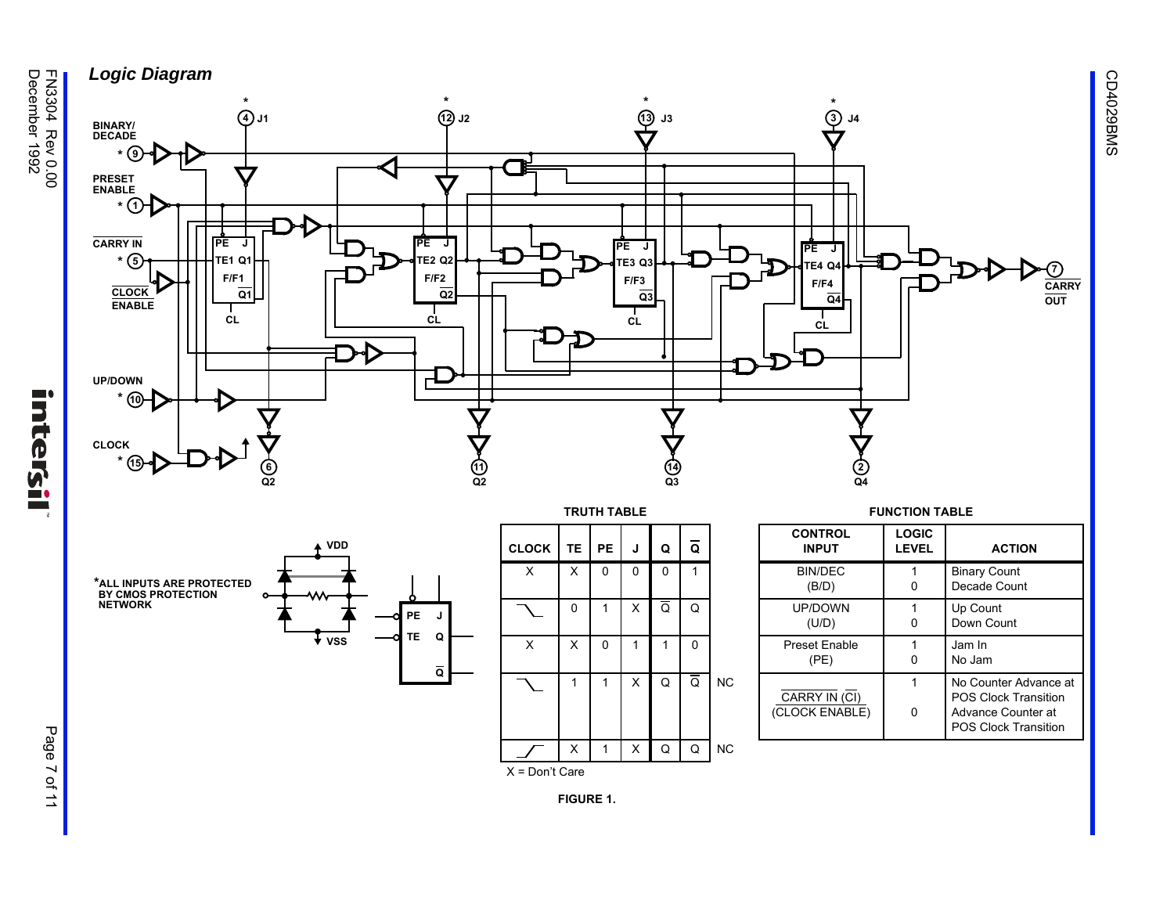



 $\blacksquare$ 

ntersil





 $\overline{\mathbf{v}}$  vss

|                            |  | <b>CLOCK</b> | <b>TE</b> | <b>PE</b>   | J | Q                       | Q         |                              | <b>CONTROL</b><br><b>INPUT</b> |
|----------------------------|--|--------------|-----------|-------------|---|-------------------------|-----------|------------------------------|--------------------------------|
| ٥                          |  | X            | X         | $\Omega$    | 0 | $\Omega$                | 1         |                              | <b>BIN/DEC</b><br>(B/D)        |
| PЕ<br>J                    |  |              | $\Omega$  | 1           | X | Ō                       | Q         |                              | UP/DOWN<br>(U/D)               |
| TE.<br>Q<br>$\overline{Q}$ |  | X            | X         | $\mathbf 0$ |   |                         | $\Omega$  |                              | <b>Preset Enable</b><br>(PE)   |
|                            |  | 1            | 1         | X           | Q | $\overline{\mathsf{Q}}$ | <b>NC</b> | CARRY IN (CI<br>(CLOCK ENABL |                                |
|                            |  |              | X         | 1           | X | Q                       | Q         | <b>NC</b>                    |                                |

X = Don't Care

| <b>FUNCTION TABLE</b>           |                              |                                                                                                           |  |  |  |  |
|---------------------------------|------------------------------|-----------------------------------------------------------------------------------------------------------|--|--|--|--|
| <b>CONTROL</b><br><b>INPUT</b>  | <b>LOGIC</b><br><b>LEVEL</b> | <b>ACTION</b>                                                                                             |  |  |  |  |
| <b>BIN/DEC</b><br>(B/D)         |                              | <b>Binary Count</b><br>Decade Count                                                                       |  |  |  |  |
| <b>UP/DOWN</b><br>(U/D)         |                              | Up Count<br>Down Count                                                                                    |  |  |  |  |
| <b>Preset Enable</b><br>(PE)    |                              | Jam In<br>No Jam                                                                                          |  |  |  |  |
| CARRY IN (CI)<br>(CLOCK ENABLE) |                              | No Counter Advance at<br><b>POS Clock Transition</b><br>Advance Counter at<br><b>POS Clock Transition</b> |  |  |  |  |



Page 7 of 11 Page 7 of 11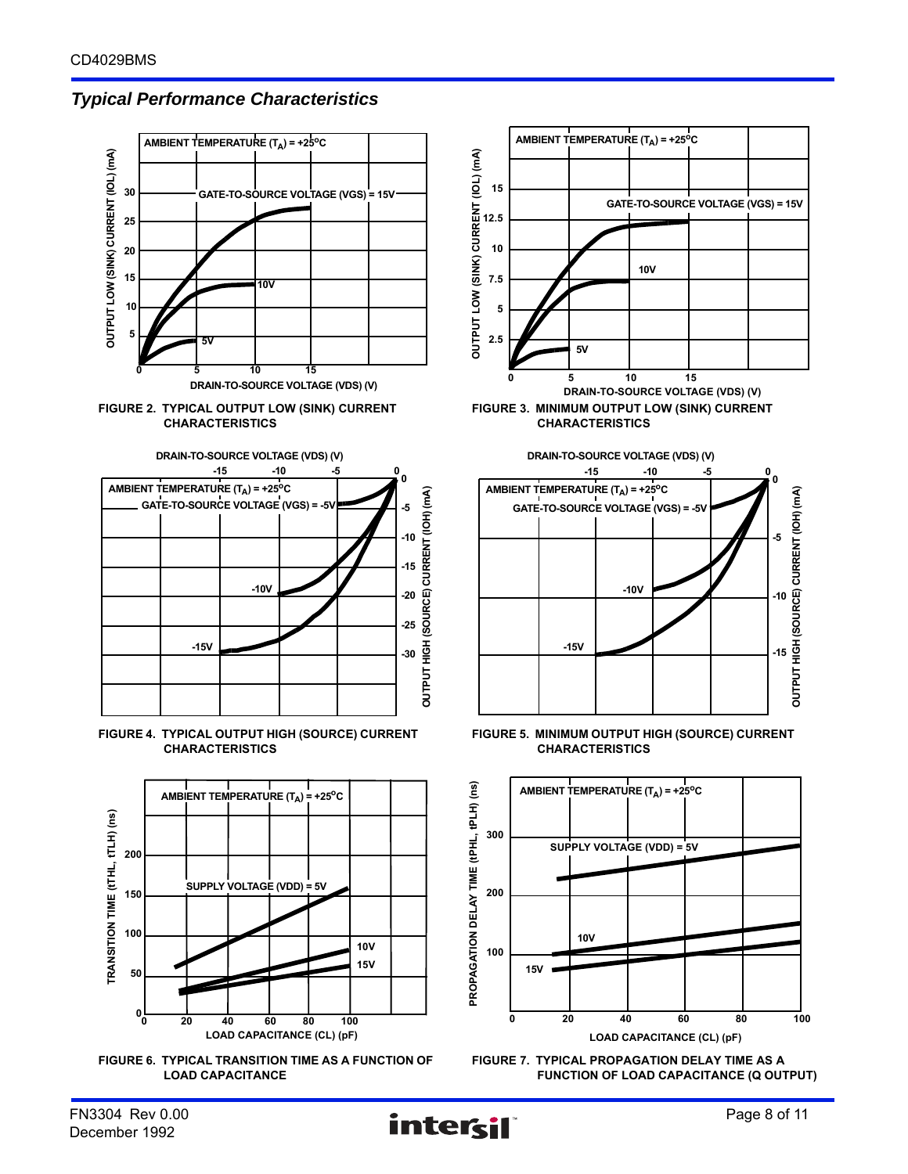# *Typical Performance Characteristics*







**FIGURE 4. TYPICAL OUTPUT HIGH (SOURCE) CURRENT CHARACTERISTICS**







**FIGURE 5. MINIMUM OUTPUT HIGH (SOURCE) CURRENT CHARACTERISTICS**

**-10V**

**-15V**



**FIGURE 7. TYPICAL PROPAGATION DELAY TIME AS A FUNCTION OF LOAD CAPACITANCE (Q OUTPUT)**

**-5**

**-10**

**-15**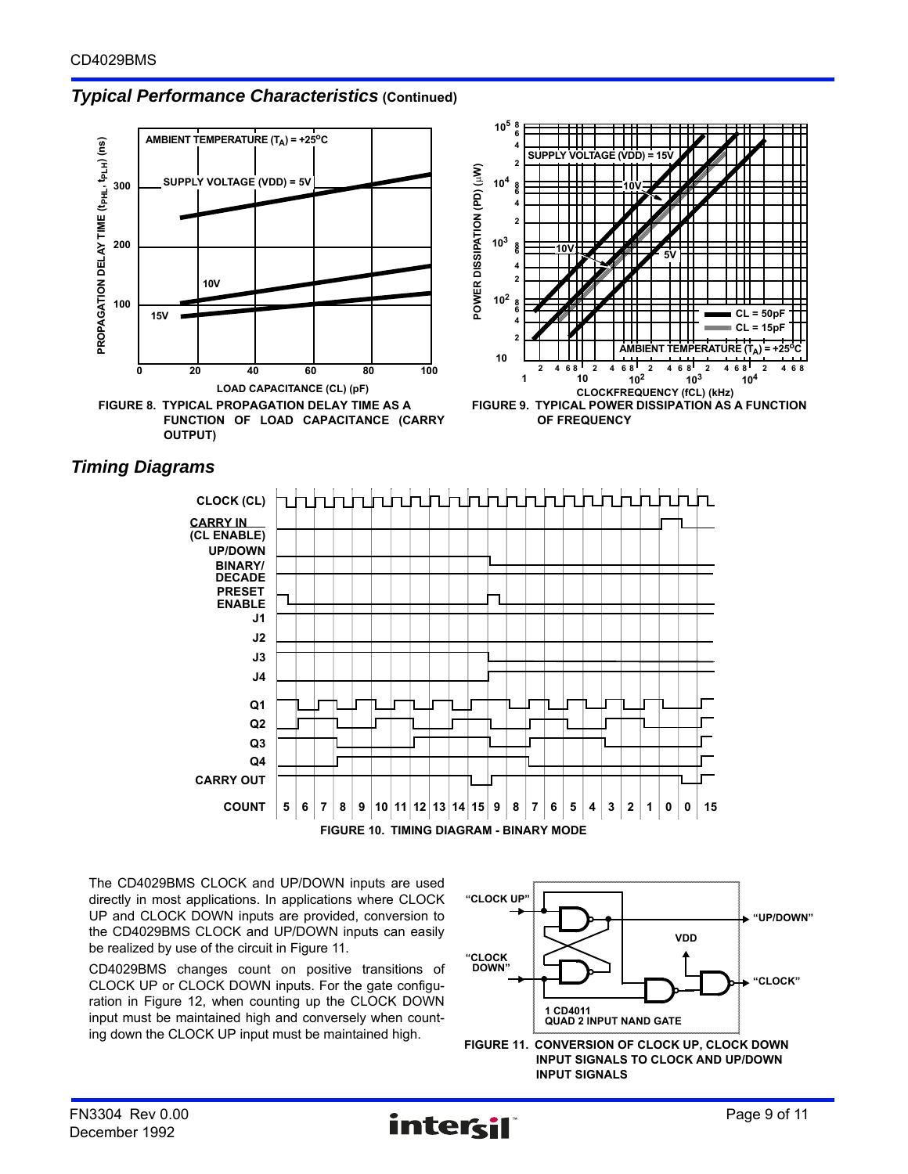# *Typical Performance Characteristics* **(Continued)**







The CD4029BMS CLOCK and UP/DOWN inputs are used directly in most applications. In applications where CLOCK UP and CLOCK DOWN inputs are provided, conversion to the CD4029BMS CLOCK and UP/DOWN inputs can easily be realized by use of the circuit in Figure 11.

CD4029BMS changes count on positive transitions of CLOCK UP or CLOCK DOWN inputs. For the gate configuration in Figure 12, when counting up the CLOCK DOWN input must be maintained high and conversely when count-

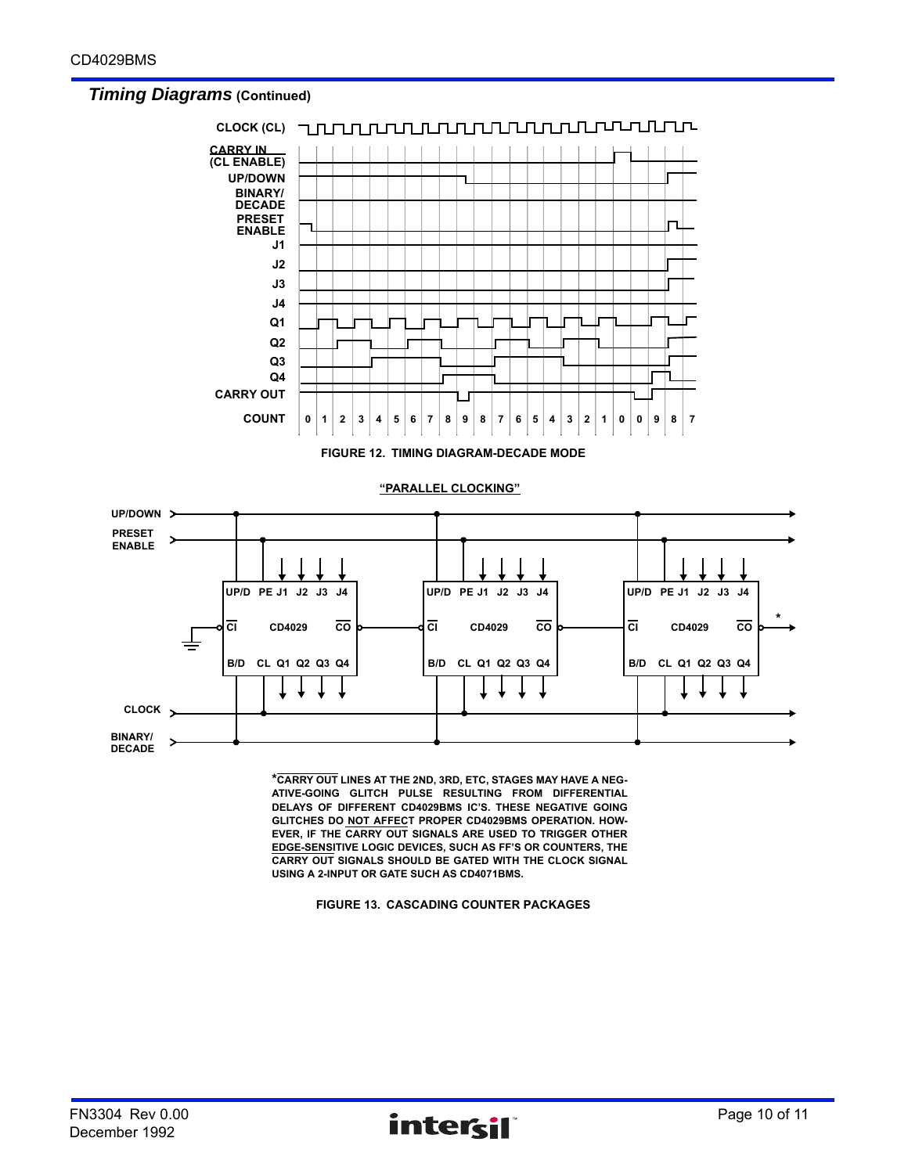## *Timing Diagrams* **(Continued)**



**\*CARRY OUT LINES AT THE 2ND, 3RD, ETC, STAGES MAY HAVE A NEG-ATIVE-GOING GLITCH PULSE RESULTING FROM DIFFERENTIAL DELAYS OF DIFFERENT CD4029BMS IC'S. THESE NEGATIVE GOING GLITCHES DO NOT AFFECT PROPER CD4029BMS OPERATION. HOW-EVER, IF THE CARRY OUT SIGNALS ARE USED TO TRIGGER OTHER EDGE-SENSITIVE LOGIC DEVICES, SUCH AS FF'S OR COUNTERS, THE CARRY OUT SIGNALS SHOULD BE GATED WITH THE CLOCK SIGNAL USING A 2-INPUT OR GATE SUCH AS CD4071BMS.**

**FIGURE 13. CASCADING COUNTER PACKAGES**